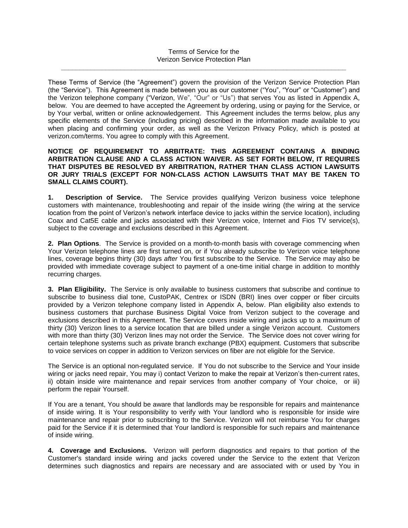These Terms of Service (the "Agreement") govern the provision of the Verizon Service Protection Plan (the "Service"). This Agreement is made between you as our customer ("You", "Your" or "Customer") and the Verizon telephone company ("Verizon, We", "Our" or "Us") that serves You as listed in Appendix A, below. You are deemed to have accepted the Agreement by ordering, using or paying for the Service, or by Your verbal, written or online acknowledgement. This Agreement includes the terms below, plus any specific elements of the Service (including pricing) described in the information made available to you when placing and confirming your order, as well as the Verizon Privacy Policy, which is posted at verizon.com/terms. You agree to comply with this Agreement.

## **NOTICE OF REQUIREMENT TO ARBITRATE: THIS AGREEMENT CONTAINS A BINDING ARBITRATION CLAUSE AND A CLASS ACTION WAIVER. AS SET FORTH BELOW, IT REQUIRES THAT DISPUTES BE RESOLVED BY ARBITRATION, RATHER THAN CLASS ACTION LAWSUITS OR JURY TRIALS (EXCEPT FOR NON-CLASS ACTION LAWSUITS THAT MAY BE TAKEN TO SMALL CLAIMS COURT).**

**1. Description of Service.** The Service provides qualifying Verizon business voice telephone customers with maintenance, troubleshooting and repair of the inside wiring (the wiring at the service location from the point of Verizon's network interface device to jacks within the service location), including Coax and Cat5E cable and jacks associated with their Verizon voice, Internet and Fios TV service(s), subject to the coverage and exclusions described in this Agreement.

**2. Plan Options**. The Service is provided on a month-to-month basis with coverage commencing when Your Verizon telephone lines are first turned on, or if You already subscribe to Verizon voice telephone lines, coverage begins thirty (30) days *after* You first subscribe to the Service. The Service may also be provided with immediate coverage subject to payment of a one-time initial charge in addition to monthly recurring charges.

**3. Plan Eligibility.** The Service is only available to business customers that subscribe and continue to subscribe to business dial tone, CustoPAK, Centrex or ISDN (BRI) lines over copper or fiber circuits provided by a Verizon telephone company listed in Appendix A, below. Plan eligibility also extends to business customers that purchase Business Digital Voice from Verizon subject to the coverage and exclusions described in this Agreement. The Service covers inside wiring and jacks up to a maximum of thirty (30) Verizon lines to a service location that are billed under a single Verizon account. Customers with more than thirty (30) Verizon lines may not order the Service. The Service does not cover wiring for certain telephone systems such as private branch exchange (PBX) equipment. Customers that subscribe to voice services on copper in addition to Verizon services on fiber are not eligible for the Service.

The Service is an optional non-regulated service. If You do not subscribe to the Service and Your inside wiring or jacks need repair, You may i) contact Verizon to make the repair at Verizon's then-current rates, ii) obtain inside wire maintenance and repair services from another company of Your choice, or iii) perform the repair Yourself.

If You are a tenant, You should be aware that landlords may be responsible for repairs and maintenance of inside wiring. It is Your responsibility to verify with Your landlord who is responsible for inside wire maintenance and repair prior to subscribing to the Service. Verizon will not reimburse You for charges paid for the Service if it is determined that Your landlord is responsible for such repairs and maintenance of inside wiring.

**4. Coverage and Exclusions.** Verizon will perform diagnostics and repairs to that portion of the Customer's standard inside wiring and jacks covered under the Service to the extent that Verizon determines such diagnostics and repairs are necessary and are associated with or used by You in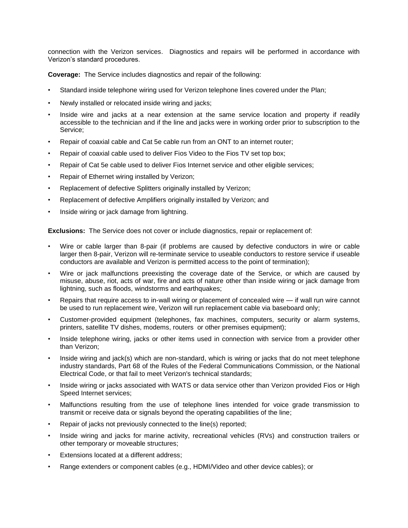connection with the Verizon services. Diagnostics and repairs will be performed in accordance with Verizon's standard procedures.

**Coverage:** The Service includes diagnostics and repair of the following:

- Standard inside telephone wiring used for Verizon telephone lines covered under the Plan;
- Newly installed or relocated inside wiring and jacks;
- Inside wire and jacks at a near extension at the same service location and property if readily accessible to the technician and if the line and jacks were in working order prior to subscription to the Service;
- Repair of coaxial cable and Cat 5e cable run from an ONT to an internet router;
- Repair of coaxial cable used to deliver Fios Video to the Fios TV set top box;
- Repair of Cat 5e cable used to deliver Fios Internet service and other eligible services;
- Repair of Ethernet wiring installed by Verizon;
- Replacement of defective Splitters originally installed by Verizon;
- Replacement of defective Amplifiers originally installed by Verizon; and
- Inside wiring or jack damage from lightning.

**Exclusions:** The Service does not cover or include diagnostics, repair or replacement of:

- Wire or cable larger than 8-pair (if problems are caused by defective conductors in wire or cable larger then 8-pair, Verizon will re-terminate service to useable conductors to restore service if useable conductors are available and Verizon is permitted access to the point of termination);
- Wire or jack malfunctions preexisting the coverage date of the Service, or which are caused by misuse, abuse, riot, acts of war, fire and acts of nature other than inside wiring or jack damage from lightning, such as floods, windstorms and earthquakes;
- Repairs that require access to in-wall wiring or placement of concealed wire if wall run wire cannot be used to run replacement wire, Verizon will run replacement cable via baseboard only;
- Customer-provided equipment (telephones, fax machines, computers, security or alarm systems, printers, satellite TV dishes, modems, routers or other premises equipment);
- Inside telephone wiring, jacks or other items used in connection with service from a provider other than Verizon;
- Inside wiring and jack(s) which are non-standard, which is wiring or jacks that do not meet telephone industry standards, Part 68 of the Rules of the Federal Communications Commission, or the National Electrical Code, or that fail to meet Verizon's technical standards;
- Inside wiring or jacks associated with WATS or data service other than Verizon provided Fios or High Speed Internet services;
- Malfunctions resulting from the use of telephone lines intended for voice grade transmission to transmit or receive data or signals beyond the operating capabilities of the line;
- Repair of jacks not previously connected to the line(s) reported;
- Inside wiring and jacks for marine activity, recreational vehicles (RVs) and construction trailers or other temporary or moveable structures;
- Extensions located at a different address;
- Range extenders or component cables (e.g., HDMI/Video and other device cables); or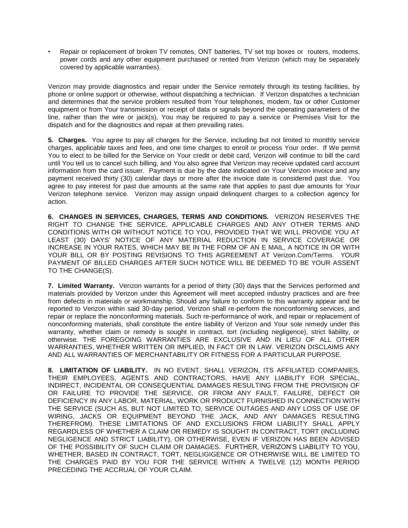• Repair or replacement of broken TV remotes, ONT batteries, TV set top boxes or routers, modems, power cords and any other equipment purchased or rented from Verizon (which may be separately covered by applicable warranties).

Verizon may provide diagnostics and repair under the Service remotely through its testing facilities, by phone or online support or otherwise, without dispatching a technician. If Verizon dispatches a technician and determines that the service problem resulted from Your telephones, modem, fax or other Customer equipment or from Your transmission or receipt of data or signals beyond the operating parameters of the line, rather than the wire or jack(s), You may be required to pay a service or Premises Visit for the dispatch and for the diagnostics and repair at then prevailing rates.

**5. Charges.** You agree to pay all charges for the Service, including but not limited to monthly service charges, applicable taxes and fees, and one time charges to enroll or process Your order. If We permit You to elect to be billed for the Service on Your credit or debit card, Verizon will continue to bill the card until You tell us to cancel such billing, and You also agree that Verizon may receive updated card account information from the card issuer. Payment is due by the date indicated on Your Verizon invoice and any payment received thirty (30) calendar days or more after the invoice date is considered past due. You agree to pay interest for past due amounts at the same rate that applies to past due amounts for Your Verizon telephone service. Verizon may assign unpaid delinquent charges to a collection agency for action.

**6. CHANGES IN SERVICES, CHARGES, TERMS AND CONDITIONS.** VERIZON RESERVES THE RIGHT TO CHANGE THE SERVICE, APPLICABLE CHARGES AND ANY OTHER TERMS AND CONDITIONS WITH OR WITHOUT NOTICE TO YOU, PROVIDED THAT WE WILL PROVIDE YOU AT LEAST (30) DAYS' NOTICE OF ANY MATERIAL REDUCTION IN SERVICE COVERAGE OR INCREASE IN YOUR RATES, WHICH MAY BE IN THE FORM OF AN E MAIL, A NOTICE IN OR WITH YOUR BILL OR BY POSTING REVISIONS TO THIS AGREEMENT AT Verizon.Com/Terms. YOUR PAYMENT OF BILLED CHARGES AFTER SUCH NOTICE WILL BE DEEMED TO BE YOUR ASSENT TO THE CHANGE(S).

**7. Limited Warranty.** Verizon warrants for a period of thirty (30) days that the Services performed and materials provided by Verizon under this Agreement will meet accepted industry practices and are free from defects in materials or workmanship. Should any failure to conform to this warranty appear and be reported to Verizon within said 30-day period, Verizon shall re-perform the nonconforming services, and repair or replace the nonconforming materials. Such re-performance of work, and repair or replacement of nonconforming materials, shall constitute the entire liability of Verizon and Your sole remedy under this warranty, whether claim or remedy is sought in contract, tort (including negligence), strict liability, or otherwise. THE FOREGOING WARRANTIES ARE EXCLUSIVE AND IN LIEU OF ALL OTHER WARRANTIES, WHETHER WRITTEN OR IMPLIED, IN FACT OR IN LAW. VERIZON DISCLAIMS ANY AND ALL WARRANTIES OF MERCHANTABILITY OR FITNESS FOR A PARTICULAR PURPOSE.

**8. LIMITATION OF LIABILITY.** IN NO EVENT, SHALL VERIZON, ITS AFFILIATED COMPANIES, THEIR EMPLOYEES, AGENTS AND CONTRACTORS, HAVE ANY LIABILITY FOR SPECIAL, INDIRECT, INCIDENTAL OR CONSEQUENTIAL DAMAGES RESULTING FROM THE PROVISION OF OR FAILURE TO PROVIDE THE SERVICE, OR FROM ANY FAULT, FAILURE, DEFECT OR DEFICIENCY IN ANY LABOR, MATERIAL, WORK OR PRODUCT FURNISHED IN CONNECTION WITH THE SERVICE (SUCH AS, BUT NOT LIMITED TO, SERVICE OUTAGES AND ANY LOSS OF USE OF WIRING, JACKS OR EQUIPMENT BEYOND THE JACK, AND ANY DAMAGES RESULTING THEREFROM). THESE LIMITATIONS OF AND EXCLUSIONS FROM LIABILITY SHALL APPLY REGARDLESS OF WHETHER A CLAIM OR REMEDY IS SOUGHT IN CONTRACT, TORT (INCLUDING NEGLIGENCE AND STRICT LIABILITY), OR OTHERWISE, EVEN IF VERIZON HAS BEEN ADVISED OF THE POSSIBILITY OF SUCH CLAIM OR DAMAGES. FURTHER, VERIZON'S LIABILITY TO YOU, WHETHER, BASED IN CONTRACT, TORT, NEGLIGIGENCE OR OTHERWISE WILL BE LIMITED TO THE CHARGES PAID BY YOU FOR THE SERVICE WITHIN A TWELVE (12) MONTH PERIOD PRECEDING THE ACCRUAL OF YOUR CLAIM.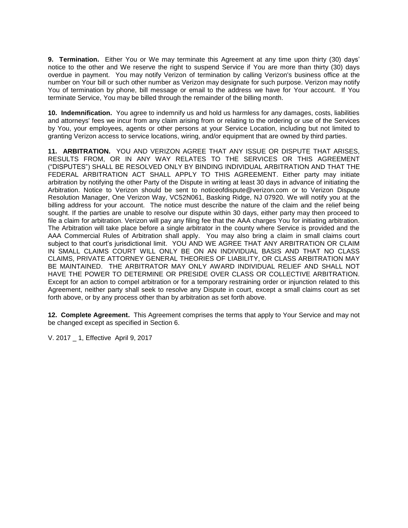**9. Termination.** Either You or We may terminate this Agreement at any time upon thirty (30) days' notice to the other and We reserve the right to suspend Service if You are more than thirty (30) days overdue in payment. You may notify Verizon of termination by calling Verizon's business office at the number on Your bill or such other number as Verizon may designate for such purpose. Verizon may notify You of termination by phone, bill message or email to the address we have for Your account. If You terminate Service, You may be billed through the remainder of the billing month.

**10. Indemnification.** You agree to indemnify us and hold us harmless for any damages, costs, liabilities and attorneys' fees we incur from any claim arising from or relating to the ordering or use of the Services by You, your employees, agents or other persons at your Service Location, including but not limited to granting Verizon access to service locations, wiring, and/or equipment that are owned by third parties.

**11. ARBITRATION.** YOU AND VERIZON AGREE THAT ANY ISSUE OR DISPUTE THAT ARISES, RESULTS FROM, OR IN ANY WAY RELATES TO THE SERVICES OR THIS AGREEMENT ("DISPUTES") SHALL BE RESOLVED ONLY BY BINDING INDIVIDUAL ARBITRATION AND THAT THE FEDERAL ARBITRATION ACT SHALL APPLY TO THIS AGREEMENT. Either party may initiate arbitration by notifying the other Party of the Dispute in writing at least 30 days in advance of initiating the Arbitration. Notice to Verizon should be sent to noticeofdispute@verizon.com or to Verizon Dispute Resolution Manager, One Verizon Way, VC52N061, Basking Ridge, NJ 07920. We will notify you at the billing address for your account. The notice must describe the nature of the claim and the relief being sought. If the parties are unable to resolve our dispute within 30 days, either party may then proceed to file a claim for arbitration. Verizon will pay any filing fee that the AAA charges You for initiating arbitration. The Arbitration will take place before a single arbitrator in the county where Service is provided and the AAA Commercial Rules of Arbitration shall apply. You may also bring a claim in small claims court subject to that court's jurisdictional limit. YOU AND WE AGREE THAT ANY ARBITRATION OR CLAIM IN SMALL CLAIMS COURT WILL ONLY BE ON AN INDIVIDUAL BASIS AND THAT NO CLASS CLAIMS, PRIVATE ATTORNEY GENERAL THEORIES OF LIABILITY, OR CLASS ARBITRATION MAY BE MAINTAINED. THE ARBITRATOR MAY ONLY AWARD INDIVIDUAL RELIEF AND SHALL NOT HAVE THE POWER TO DETERMINE OR PRESIDE OVER CLASS OR COLLECTIVE ARBITRATION. Except for an action to compel arbitration or for a temporary restraining order or injunction related to this Agreement, neither party shall seek to resolve any Dispute in court, except a small claims court as set forth above, or by any process other than by arbitration as set forth above.

**12. Complete Agreement.** This Agreement comprises the terms that apply to Your Service and may not be changed except as specified in Section 6.

V. 2017 \_ 1, Effective April 9, 2017